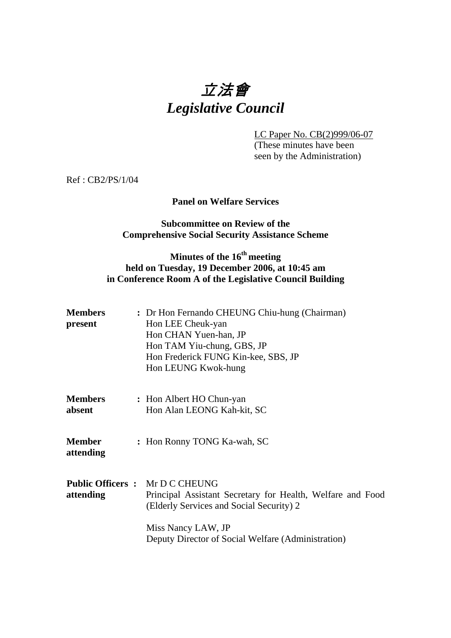# 立法會 *Legislative Council*

LC Paper No. CB(2)999/06-07 (These minutes have been seen by the Administration)

Ref : CB2/PS/1/04

## **Panel on Welfare Services**

## **Subcommittee on Review of the Comprehensive Social Security Assistance Scheme**

# **Minutes of the 16th meeting held on Tuesday, 19 December 2006, at 10:45 am in Conference Room A of the Legislative Council Building**

| Members<br>present  | : Dr Hon Fernando CHEUNG Chiu-hung (Chairman)<br>Hon LEE Cheuk-yan<br>Hon CHAN Yuen-han, JP<br>Hon TAM Yiu-chung, GBS, JP<br>Hon Frederick FUNG Kin-kee, SBS, JP<br>Hon LEUNG Kwok-hung |
|---------------------|-----------------------------------------------------------------------------------------------------------------------------------------------------------------------------------------|
| Members<br>absent   | : Hon Albert HO Chun-yan<br>Hon Alan LEONG Kah-kit, SC                                                                                                                                  |
| Member<br>attending | : Hon Ronny TONG Ka-wah, SC                                                                                                                                                             |
| attending           | <b>Public Officers : Mr D C CHEUNG</b><br>Principal Assistant Secretary for Health, Welfare and Food<br>(Elderly Services and Social Security) 2                                        |
|                     | Miss Nancy LAW, JP<br>Deputy Director of Social Welfare (Administration)                                                                                                                |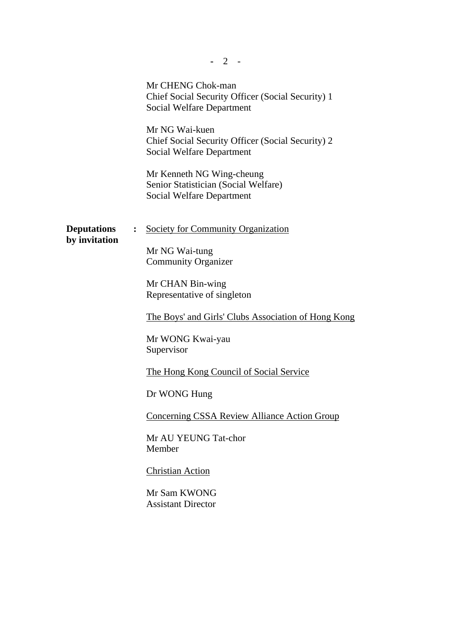|                                     |                | $2 -$                                                                                                      |
|-------------------------------------|----------------|------------------------------------------------------------------------------------------------------------|
|                                     |                | Mr CHENG Chok-man<br>Chief Social Security Officer (Social Security) 1<br><b>Social Welfare Department</b> |
|                                     |                | Mr NG Wai-kuen<br>Chief Social Security Officer (Social Security) 2<br>Social Welfare Department           |
|                                     |                | Mr Kenneth NG Wing-cheung<br>Senior Statistician (Social Welfare)<br><b>Social Welfare Department</b>      |
| <b>Deputations</b><br>by invitation | $\ddot{\cdot}$ | <b>Society for Community Organization</b>                                                                  |
|                                     |                | Mr NG Wai-tung<br><b>Community Organizer</b>                                                               |
|                                     |                | Mr CHAN Bin-wing<br>Representative of singleton                                                            |
|                                     |                | <u>The Boys' and Girls' Clubs Association of Hong Kong</u>                                                 |
|                                     |                | Mr WONG Kwai-yau<br>Supervisor                                                                             |
|                                     |                | <u>The Hong Kong Council of Social Service</u>                                                             |
|                                     |                | Dr WONG Hung                                                                                               |
|                                     |                | <b>Concerning CSSA Review Alliance Action Group</b>                                                        |
|                                     |                | Mr AU YEUNG Tat-chor<br>Member                                                                             |
|                                     |                | <b>Christian Action</b>                                                                                    |
|                                     |                | Mr Sam KWONG<br><b>Assistant Director</b>                                                                  |
|                                     |                |                                                                                                            |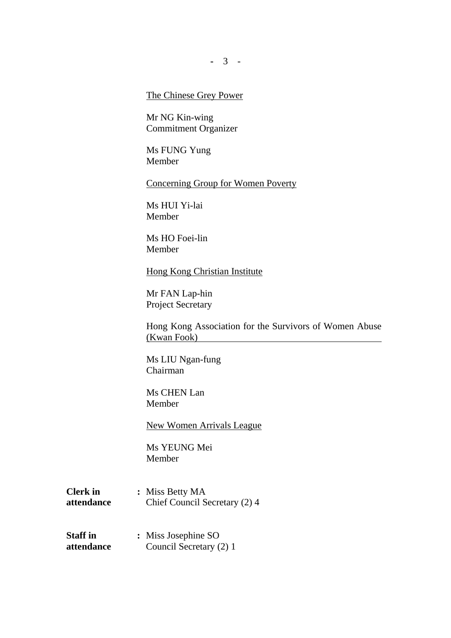**-** 3 -

## The Chinese Grey Power

Mr NG Kin-wing Commitment Organizer

Ms FUNG Yung Member

Concerning Group for Women Poverty

Ms HUI Yi-lai Member

Ms HO Foei-lin Member

Hong Kong Christian Institute

Mr FAN Lap-hin Project Secretary

Hong Kong Association for the Survivors of Women Abuse (Kwan Fook)

Ms LIU Ngan-fung Chairman

Ms CHEN Lan Member

New Women Arrivals League

Ms YEUNG Mei Member

- **Clerk in : Miss Betty MA attendance** Chief Council Secretary (2) 4
- **Staff in :** Miss Josephine SO **attendance** Council Secretary (2) 1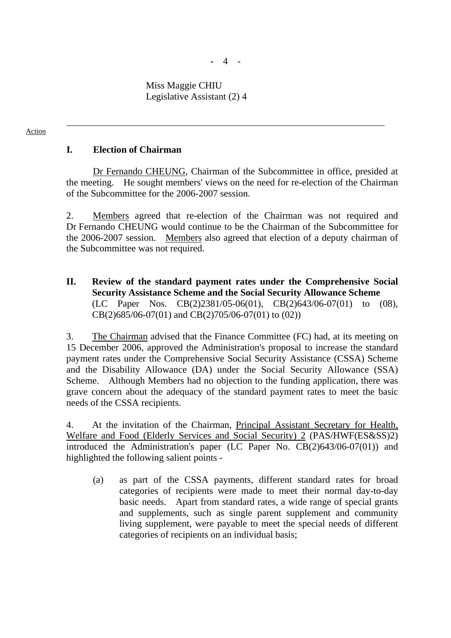**-** 4 -

 Miss Maggie CHIU Legislative Assistant (2) 4

#### Action

## **I. Election of Chairman**

 Dr Fernando CHEUNG, Chairman of the Subcommittee in office, presided at the meeting. He sought members' views on the need for re-election of the Chairman of the Subcommittee for the 2006-2007 session.

2. Members agreed that re-election of the Chairman was not required and Dr Fernando CHEUNG would continue to be the Chairman of the Subcommittee for the 2006-2007 session. Members also agreed that election of a deputy chairman of the Subcommittee was not required.

**II. Review of the standard payment rates under the Comprehensive Social Security Assistance Scheme and the Social Security Allowance Scheme**  (LC Paper Nos. CB(2)2381/05-06(01), CB(2)643/06-07(01) to (08), CB(2)685/06-07(01) and CB(2)705/06-07(01) to (02))

3. The Chairman advised that the Finance Committee (FC) had, at its meeting on 15 December 2006, approved the Administration's proposal to increase the standard payment rates under the Comprehensive Social Security Assistance (CSSA) Scheme and the Disability Allowance (DA) under the Social Security Allowance (SSA) Scheme. Although Members had no objection to the funding application, there was grave concern about the adequacy of the standard payment rates to meet the basic needs of the CSSA recipients.

4. At the invitation of the Chairman, Principal Assistant Secretary for Health, Welfare and Food (Elderly Services and Social Security) 2 (PAS/HWF(ES&SS)2) introduced the Administration's paper (LC Paper No. CB(2)643/06-07(01)) and highlighted the following salient points -

(a) as part of the CSSA payments, different standard rates for broad categories of recipients were made to meet their normal day-to-day basic needs. Apart from standard rates, a wide range of special grants and supplements, such as single parent supplement and community living supplement, were payable to meet the special needs of different categories of recipients on an individual basis;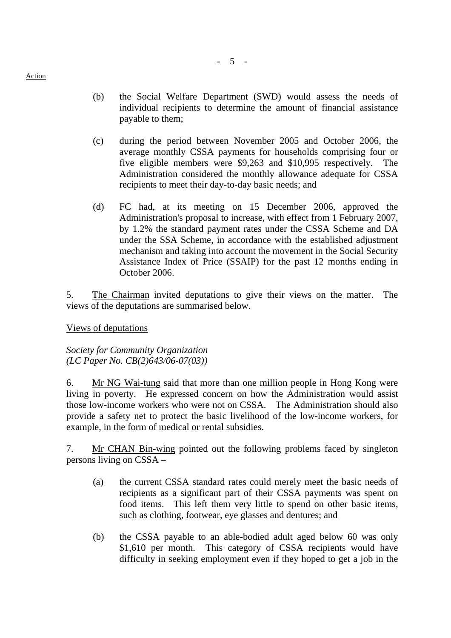- (b) the Social Welfare Department (SWD) would assess the needs of individual recipients to determine the amount of financial assistance payable to them;
- (c) during the period between November 2005 and October 2006, the average monthly CSSA payments for households comprising four or five eligible members were \$9,263 and \$10,995 respectively. The Administration considered the monthly allowance adequate for CSSA recipients to meet their day-to-day basic needs; and
- (d) FC had, at its meeting on 15 December 2006, approved the Administration's proposal to increase, with effect from 1 February 2007, by 1.2% the standard payment rates under the CSSA Scheme and DA under the SSA Scheme, in accordance with the established adjustment mechanism and taking into account the movement in the Social Security Assistance Index of Price (SSAIP) for the past 12 months ending in October 2006.

5. The Chairman invited deputations to give their views on the matter. The views of the deputations are summarised below.

Views of deputations

*Society for Community Organization (LC Paper No. CB(2)643/06-07(03))* 

6. Mr NG Wai-tung said that more than one million people in Hong Kong were living in poverty. He expressed concern on how the Administration would assist those low-income workers who were not on CSSA. The Administration should also provide a safety net to protect the basic livelihood of the low-income workers, for example, in the form of medical or rental subsidies.

7. Mr CHAN Bin-wing pointed out the following problems faced by singleton persons living on CSSA –

- (a) the current CSSA standard rates could merely meet the basic needs of recipients as a significant part of their CSSA payments was spent on food items. This left them very little to spend on other basic items, such as clothing, footwear, eye glasses and dentures; and
- (b) the CSSA payable to an able-bodied adult aged below 60 was only \$1,610 per month. This category of CSSA recipients would have difficulty in seeking employment even if they hoped to get a job in the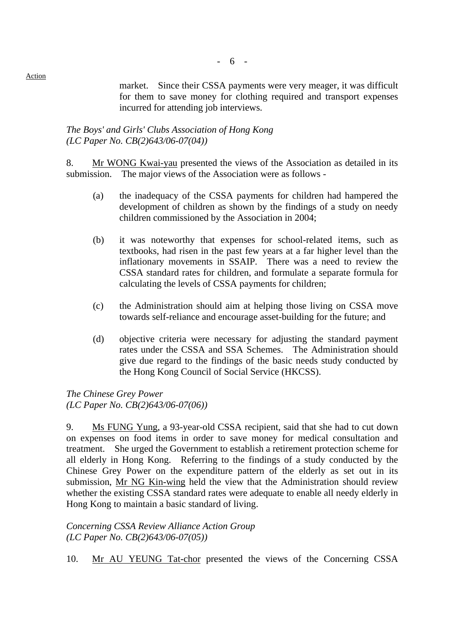market. Since their CSSA payments were very meager, it was difficult for them to save money for clothing required and transport expenses incurred for attending job interviews.

## *The Boys' and Girls' Clubs Association of Hong Kong (LC Paper No. CB(2)643/06-07(04))*

8. Mr WONG Kwai-yau presented the views of the Association as detailed in its submission. The major views of the Association were as follows -

- (a) the inadequacy of the CSSA payments for children had hampered the development of children as shown by the findings of a study on needy children commissioned by the Association in 2004;
- (b) it was noteworthy that expenses for school-related items, such as textbooks, had risen in the past few years at a far higher level than the inflationary movements in SSAIP. There was a need to review the CSSA standard rates for children, and formulate a separate formula for calculating the levels of CSSA payments for children;
- (c) the Administration should aim at helping those living on CSSA move towards self-reliance and encourage asset-building for the future; and
- (d) objective criteria were necessary for adjusting the standard payment rates under the CSSA and SSA Schemes. The Administration should give due regard to the findings of the basic needs study conducted by the Hong Kong Council of Social Service (HKCSS).

*The Chinese Grey Power (LC Paper No. CB(2)643/06-07(06))* 

9. Ms FUNG Yung, a 93-year-old CSSA recipient, said that she had to cut down on expenses on food items in order to save money for medical consultation and treatment. She urged the Government to establish a retirement protection scheme for all elderly in Hong Kong. Referring to the findings of a study conducted by the Chinese Grey Power on the expenditure pattern of the elderly as set out in its submission, Mr NG Kin-wing held the view that the Administration should review whether the existing CSSA standard rates were adequate to enable all needy elderly in Hong Kong to maintain a basic standard of living.

*Concerning CSSA Review Alliance Action Group (LC Paper No. CB(2)643/06-07(05))* 

10. Mr AU YEUNG Tat-chor presented the views of the Concerning CSSA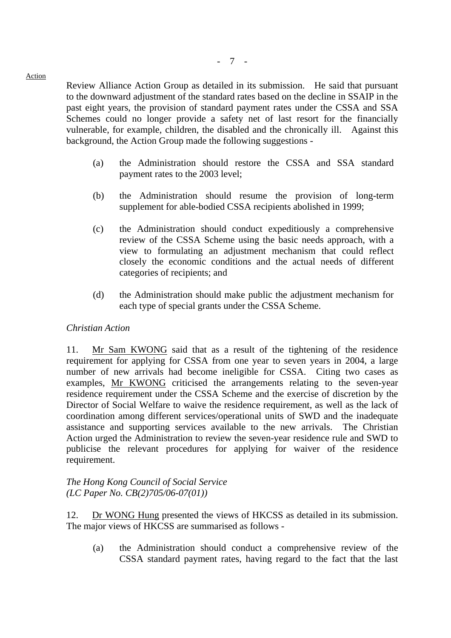Review Alliance Action Group as detailed in its submission. He said that pursuant to the downward adjustment of the standard rates based on the decline in SSAIP in the past eight years, the provision of standard payment rates under the CSSA and SSA Schemes could no longer provide a safety net of last resort for the financially vulnerable, for example, children, the disabled and the chronically ill. Against this background, the Action Group made the following suggestions -

- (a) the Administration should restore the CSSA and SSA standard payment rates to the 2003 level;
- (b) the Administration should resume the provision of long-term supplement for able-bodied CSSA recipients abolished in 1999;
- (c) the Administration should conduct expeditiously a comprehensive review of the CSSA Scheme using the basic needs approach, with a view to formulating an adjustment mechanism that could reflect closely the economic conditions and the actual needs of different categories of recipients; and
- (d) the Administration should make public the adjustment mechanism for each type of special grants under the CSSA Scheme.

## *Christian Action*

11. Mr Sam KWONG said that as a result of the tightening of the residence requirement for applying for CSSA from one year to seven years in 2004, a large number of new arrivals had become ineligible for CSSA. Citing two cases as examples, Mr KWONG criticised the arrangements relating to the seven-year residence requirement under the CSSA Scheme and the exercise of discretion by the Director of Social Welfare to waive the residence requirement, as well as the lack of coordination among different services/operational units of SWD and the inadequate assistance and supporting services available to the new arrivals. The Christian Action urged the Administration to review the seven-year residence rule and SWD to publicise the relevant procedures for applying for waiver of the residence requirement.

*The Hong Kong Council of Social Service (LC Paper No. CB(2)705/06-07(01))* 

12. Dr WONG Hung presented the views of HKCSS as detailed in its submission. The major views of HKCSS are summarised as follows -

(a) the Administration should conduct a comprehensive review of the CSSA standard payment rates, having regard to the fact that the last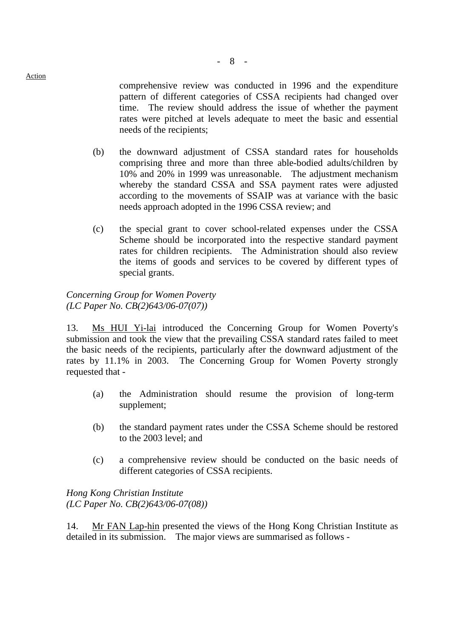comprehensive review was conducted in 1996 and the expenditure pattern of different categories of CSSA recipients had changed over time. The review should address the issue of whether the payment rates were pitched at levels adequate to meet the basic and essential needs of the recipients;

- (b) the downward adjustment of CSSA standard rates for households comprising three and more than three able-bodied adults/children by 10% and 20% in 1999 was unreasonable. The adjustment mechanism whereby the standard CSSA and SSA payment rates were adjusted according to the movements of SSAIP was at variance with the basic needs approach adopted in the 1996 CSSA review; and
- (c) the special grant to cover school-related expenses under the CSSA Scheme should be incorporated into the respective standard payment rates for children recipients. The Administration should also review the items of goods and services to be covered by different types of special grants.

## *Concerning Group for Women Poverty (LC Paper No. CB(2)643/06-07(07))*

13. Ms HUI Yi-lai introduced the Concerning Group for Women Poverty's submission and took the view that the prevailing CSSA standard rates failed to meet the basic needs of the recipients, particularly after the downward adjustment of the rates by 11.1% in 2003. The Concerning Group for Women Poverty strongly requested that -

- (a) the Administration should resume the provision of long-term supplement;
- (b) the standard payment rates under the CSSA Scheme should be restored to the 2003 level; and
- (c) a comprehensive review should be conducted on the basic needs of different categories of CSSA recipients.

*Hong Kong Christian Institute (LC Paper No. CB(2)643/06-07(08))* 

14. Mr FAN Lap-hin presented the views of the Hong Kong Christian Institute as detailed in its submission. The major views are summarised as follows -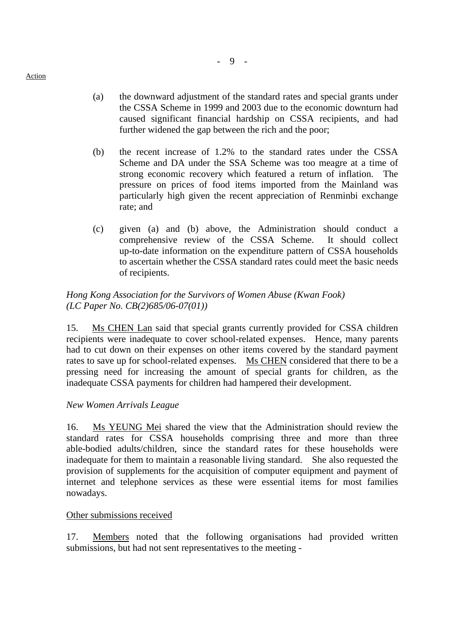(a) the downward adjustment of the standard rates and special grants under the CSSA Scheme in 1999 and 2003 due to the economic downturn had caused significant financial hardship on CSSA recipients, and had further widened the gap between the rich and the poor;

- 9 -

- (b) the recent increase of 1.2% to the standard rates under the CSSA Scheme and DA under the SSA Scheme was too meagre at a time of strong economic recovery which featured a return of inflation. The pressure on prices of food items imported from the Mainland was particularly high given the recent appreciation of Renminbi exchange rate; and
- (c) given (a) and (b) above, the Administration should conduct a comprehensive review of the CSSA Scheme. It should collect up-to-date information on the expenditure pattern of CSSA households to ascertain whether the CSSA standard rates could meet the basic needs of recipients.

## *Hong Kong Association for the Survivors of Women Abuse (Kwan Fook) (LC Paper No. CB(2)685/06-07(01))*

15. Ms CHEN Lan said that special grants currently provided for CSSA children recipients were inadequate to cover school-related expenses. Hence, many parents had to cut down on their expenses on other items covered by the standard payment rates to save up for school-related expenses. Ms CHEN considered that there to be a pressing need for increasing the amount of special grants for children, as the inadequate CSSA payments for children had hampered their development.

# *New Women Arrivals League*

16. Ms YEUNG Mei shared the view that the Administration should review the standard rates for CSSA households comprising three and more than three able-bodied adults/children, since the standard rates for these households were inadequate for them to maintain a reasonable living standard. She also requested the provision of supplements for the acquisition of computer equipment and payment of internet and telephone services as these were essential items for most families nowadays.

# Other submissions received

17. Members noted that the following organisations had provided written submissions, but had not sent representatives to the meeting -

Action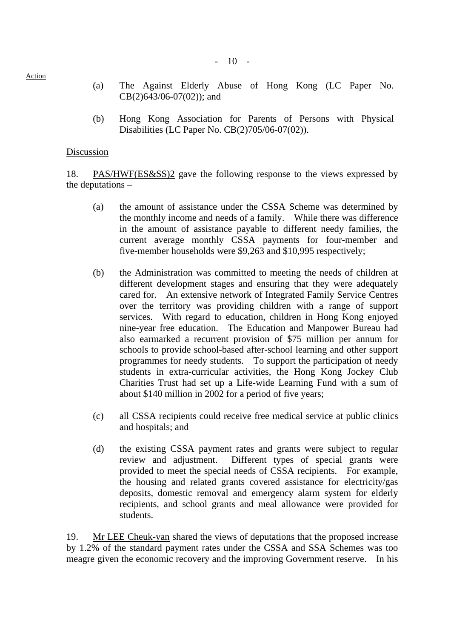$-10 -$ 

- (a) The Against Elderly Abuse of Hong Kong (LC Paper No. CB(2)643/06-07(02)); and
- (b) Hong Kong Association for Parents of Persons with Physical Disabilities (LC Paper No. CB(2)705/06-07(02)).

## Discussion

18. PAS/HWF(ES&SS)2 gave the following response to the views expressed by the deputations –

- (a) the amount of assistance under the CSSA Scheme was determined by the monthly income and needs of a family. While there was difference in the amount of assistance payable to different needy families, the current average monthly CSSA payments for four-member and five-member households were \$9,263 and \$10,995 respectively;
- (b) the Administration was committed to meeting the needs of children at different development stages and ensuring that they were adequately cared for. An extensive network of Integrated Family Service Centres over the territory was providing children with a range of support services. With regard to education, children in Hong Kong enjoyed nine-year free education. The Education and Manpower Bureau had also earmarked a recurrent provision of \$75 million per annum for schools to provide school-based after-school learning and other support programmes for needy students. To support the participation of needy students in extra-curricular activities, the Hong Kong Jockey Club Charities Trust had set up a Life-wide Learning Fund with a sum of about \$140 million in 2002 for a period of five years;
- (c) all CSSA recipients could receive free medical service at public clinics and hospitals; and
- (d) the existing CSSA payment rates and grants were subject to regular review and adjustment. Different types of special grants were provided to meet the special needs of CSSA recipients. For example, the housing and related grants covered assistance for electricity/gas deposits, domestic removal and emergency alarm system for elderly recipients, and school grants and meal allowance were provided for students.

19. Mr LEE Cheuk-yan shared the views of deputations that the proposed increase by 1.2% of the standard payment rates under the CSSA and SSA Schemes was too meagre given the economic recovery and the improving Government reserve. In his

Action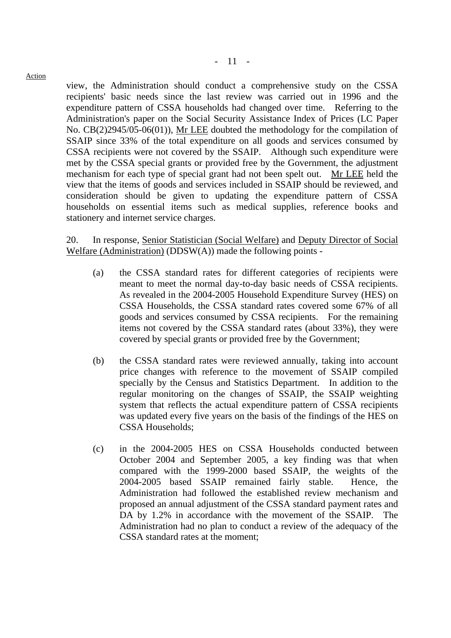view, the Administration should conduct a comprehensive study on the CSSA recipients' basic needs since the last review was carried out in 1996 and the expenditure pattern of CSSA households had changed over time. Referring to the Administration's paper on the Social Security Assistance Index of Prices (LC Paper No. CB(2)2945/05-06(01)), Mr LEE doubted the methodology for the compilation of SSAIP since 33% of the total expenditure on all goods and services consumed by CSSA recipients were not covered by the SSAIP. Although such expenditure were met by the CSSA special grants or provided free by the Government, the adjustment mechanism for each type of special grant had not been spelt out. Mr LEE held the view that the items of goods and services included in SSAIP should be reviewed, and consideration should be given to updating the expenditure pattern of CSSA households on essential items such as medical supplies, reference books and stationery and internet service charges.

20. In response, Senior Statistician (Social Welfare) and Deputy Director of Social Welfare (Administration) (DDSW(A)) made the following points -

- (a) the CSSA standard rates for different categories of recipients were meant to meet the normal day-to-day basic needs of CSSA recipients. As revealed in the 2004-2005 Household Expenditure Survey (HES) on CSSA Households, the CSSA standard rates covered some 67% of all goods and services consumed by CSSA recipients. For the remaining items not covered by the CSSA standard rates (about 33%), they were covered by special grants or provided free by the Government;
- (b) the CSSA standard rates were reviewed annually, taking into account price changes with reference to the movement of SSAIP compiled specially by the Census and Statistics Department. In addition to the regular monitoring on the changes of SSAIP, the SSAIP weighting system that reflects the actual expenditure pattern of CSSA recipients was updated every five years on the basis of the findings of the HES on CSSA Households;
- (c) in the 2004-2005 HES on CSSA Households conducted between October 2004 and September 2005, a key finding was that when compared with the 1999-2000 based SSAIP, the weights of the 2004-2005 based SSAIP remained fairly stable. Hence, the Administration had followed the established review mechanism and proposed an annual adjustment of the CSSA standard payment rates and DA by 1.2% in accordance with the movement of the SSAIP. The Administration had no plan to conduct a review of the adequacy of the CSSA standard rates at the moment;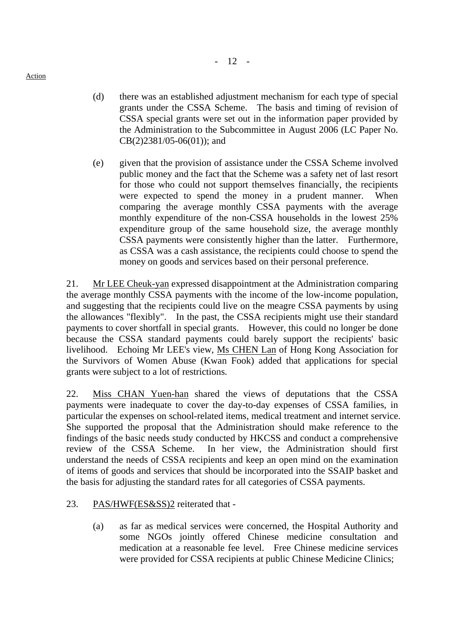- (d) there was an established adjustment mechanism for each type of special grants under the CSSA Scheme. The basis and timing of revision of CSSA special grants were set out in the information paper provided by the Administration to the Subcommittee in August 2006 (LC Paper No. CB(2)2381/05-06(01)); and
- (e) given that the provision of assistance under the CSSA Scheme involved public money and the fact that the Scheme was a safety net of last resort for those who could not support themselves financially, the recipients were expected to spend the money in a prudent manner. When comparing the average monthly CSSA payments with the average monthly expenditure of the non-CSSA households in the lowest 25% expenditure group of the same household size, the average monthly CSSA payments were consistently higher than the latter. Furthermore, as CSSA was a cash assistance, the recipients could choose to spend the money on goods and services based on their personal preference.

21. Mr LEE Cheuk-yan expressed disappointment at the Administration comparing the average monthly CSSA payments with the income of the low-income population, and suggesting that the recipients could live on the meagre CSSA payments by using the allowances "flexibly". In the past, the CSSA recipients might use their standard payments to cover shortfall in special grants. However, this could no longer be done because the CSSA standard payments could barely support the recipients' basic livelihood. Echoing Mr LEE's view, Ms CHEN Lan of Hong Kong Association for the Survivors of Women Abuse (Kwan Fook) added that applications for special grants were subject to a lot of restrictions.

22. Miss CHAN Yuen-han shared the views of deputations that the CSSA payments were inadequate to cover the day-to-day expenses of CSSA families, in particular the expenses on school-related items, medical treatment and internet service. She supported the proposal that the Administration should make reference to the findings of the basic needs study conducted by HKCSS and conduct a comprehensive review of the CSSA Scheme. In her view, the Administration should first understand the needs of CSSA recipients and keep an open mind on the examination of items of goods and services that should be incorporated into the SSAIP basket and the basis for adjusting the standard rates for all categories of CSSA payments.

# 23. PAS/HWF(ES&SS)2 reiterated that -

(a) as far as medical services were concerned, the Hospital Authority and some NGOs jointly offered Chinese medicine consultation and medication at a reasonable fee level. Free Chinese medicine services were provided for CSSA recipients at public Chinese Medicine Clinics;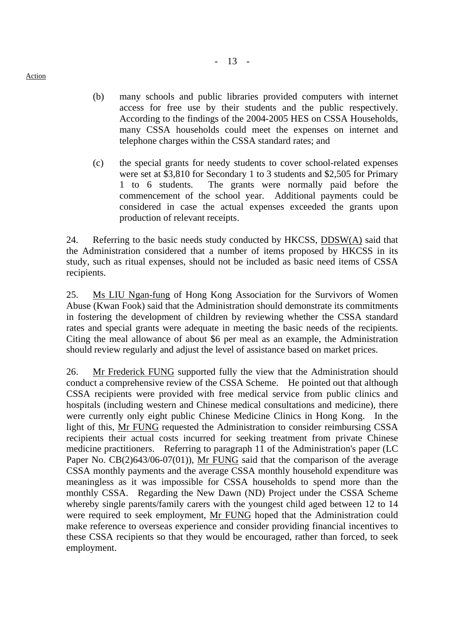- (b) many schools and public libraries provided computers with internet access for free use by their students and the public respectively. According to the findings of the 2004-2005 HES on CSSA Households, many CSSA households could meet the expenses on internet and telephone charges within the CSSA standard rates; and
- (c) the special grants for needy students to cover school-related expenses were set at \$3,810 for Secondary 1 to 3 students and \$2,505 for Primary 1 to 6 students. The grants were normally paid before the commencement of the school year. Additional payments could be considered in case the actual expenses exceeded the grants upon production of relevant receipts.

24. Referring to the basic needs study conducted by HKCSS, DDSW(A) said that the Administration considered that a number of items proposed by HKCSS in its study, such as ritual expenses, should not be included as basic need items of CSSA recipients.

25. Ms LIU Ngan-fung of Hong Kong Association for the Survivors of Women Abuse (Kwan Fook) said that the Administration should demonstrate its commitments in fostering the development of children by reviewing whether the CSSA standard rates and special grants were adequate in meeting the basic needs of the recipients. Citing the meal allowance of about \$6 per meal as an example, the Administration should review regularly and adjust the level of assistance based on market prices.

26. Mr Frederick FUNG supported fully the view that the Administration should conduct a comprehensive review of the CSSA Scheme. He pointed out that although CSSA recipients were provided with free medical service from public clinics and hospitals (including western and Chinese medical consultations and medicine), there were currently only eight public Chinese Medicine Clinics in Hong Kong. In the light of this, Mr FUNG requested the Administration to consider reimbursing CSSA recipients their actual costs incurred for seeking treatment from private Chinese medicine practitioners. Referring to paragraph 11 of the Administration's paper (LC Paper No. CB(2)643/06-07(01)), Mr FUNG said that the comparison of the average CSSA monthly payments and the average CSSA monthly household expenditure was meaningless as it was impossible for CSSA households to spend more than the monthly CSSA. Regarding the New Dawn (ND) Project under the CSSA Scheme whereby single parents/family carers with the youngest child aged between 12 to 14 were required to seek employment, Mr FUNG hoped that the Administration could make reference to overseas experience and consider providing financial incentives to these CSSA recipients so that they would be encouraged, rather than forced, to seek employment.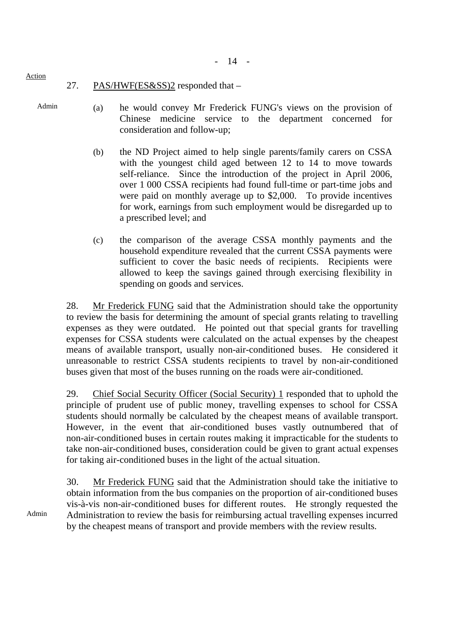- 14 -

- 27. PAS/HWF(ES&SS)2 responded that –
- Admin

Action

- (a) he would convey Mr Frederick FUNG's views on the provision of Chinese medicine service to the department concerned for consideration and follow-up;
- (b) the ND Project aimed to help single parents/family carers on CSSA with the youngest child aged between 12 to 14 to move towards self-reliance. Since the introduction of the project in April 2006, over 1,000 CSSA recipients had found full-time or part-time jobs and were paid on monthly average up to \$2,000. To provide incentives for work, earnings from such employment would be disregarded up to a prescribed level; and
- (c) the comparison of the average CSSA monthly payments and the household expenditure revealed that the current CSSA payments were sufficient to cover the basic needs of recipients. Recipients were allowed to keep the savings gained through exercising flexibility in spending on goods and services.

28. Mr Frederick FUNG said that the Administration should take the opportunity to review the basis for determining the amount of special grants relating to travelling expenses as they were outdated. He pointed out that special grants for travelling expenses for CSSA students were calculated on the actual expenses by the cheapest means of available transport, usually non-air-conditioned buses. He considered it unreasonable to restrict CSSA students recipients to travel by non-air-conditioned buses given that most of the buses running on the roads were air-conditioned.

29. Chief Social Security Officer (Social Security) 1 responded that to uphold the principle of prudent use of public money, travelling expenses to school for CSSA students should normally be calculated by the cheapest means of available transport. However, in the event that air-conditioned buses vastly outnumbered that of non-air-conditioned buses in certain routes making it impracticable for the students to take non-air-conditioned buses, consideration could be given to grant actual expenses for taking air-conditioned buses in the light of the actual situation.

30. Mr Frederick FUNG said that the Administration should take the initiative to obtain information from the bus companies on the proportion of air-conditioned buses vis-à-vis non-air-conditioned buses for different routes. He strongly requested the Administration to review the basis for reimbursing actual travelling expenses incurred by the cheapest means of transport and provide members with the review results.

Admin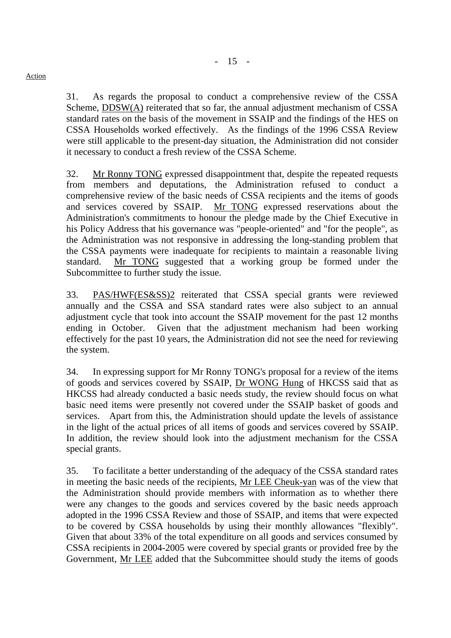$- 15 -$ 

31. As regards the proposal to conduct a comprehensive review of the CSSA Scheme, DDSW(A) reiterated that so far, the annual adjustment mechanism of CSSA standard rates on the basis of the movement in SSAIP and the findings of the HES on CSSA Households worked effectively. As the findings of the 1996 CSSA Review were still applicable to the present-day situation, the Administration did not consider it necessary to conduct a fresh review of the CSSA Scheme.

32. Mr Ronny TONG expressed disappointment that, despite the repeated requests from members and deputations, the Administration refused to conduct a comprehensive review of the basic needs of CSSA recipients and the items of goods and services covered by SSAIP. Mr TONG expressed reservations about the Administration's commitments to honour the pledge made by the Chief Executive in his Policy Address that his governance was "people-oriented" and "for the people", as the Administration was not responsive in addressing the long-standing problem that the CSSA payments were inadequate for recipients to maintain a reasonable living standard. Mr TONG suggested that a working group be formed under the Subcommittee to further study the issue.

33. PAS/HWF(ES&SS)2 reiterated that CSSA special grants were reviewed annually and the CSSA and SSA standard rates were also subject to an annual adjustment cycle that took into account the SSAIP movement for the past 12 months ending in October. Given that the adjustment mechanism had been working effectively for the past 10 years, the Administration did not see the need for reviewing the system.

34. In expressing support for Mr Ronny TONG's proposal for a review of the items of goods and services covered by SSAIP, Dr WONG Hung of HKCSS said that as HKCSS had already conducted a basic needs study, the review should focus on what basic need items were presently not covered under the SSAIP basket of goods and services. Apart from this, the Administration should update the levels of assistance in the light of the actual prices of all items of goods and services covered by SSAIP. In addition, the review should look into the adjustment mechanism for the CSSA special grants.

35. To facilitate a better understanding of the adequacy of the CSSA standard rates in meeting the basic needs of the recipients, Mr LEE Cheuk-yan was of the view that the Administration should provide members with information as to whether there were any changes to the goods and services covered by the basic needs approach adopted in the 1996 CSSA Review and those of SSAIP, and items that were expected to be covered by CSSA households by using their monthly allowances "flexibly". Given that about 33% of the total expenditure on all goods and services consumed by CSSA recipients in 2004-2005 were covered by special grants or provided free by the Government, Mr LEE added that the Subcommittee should study the items of goods